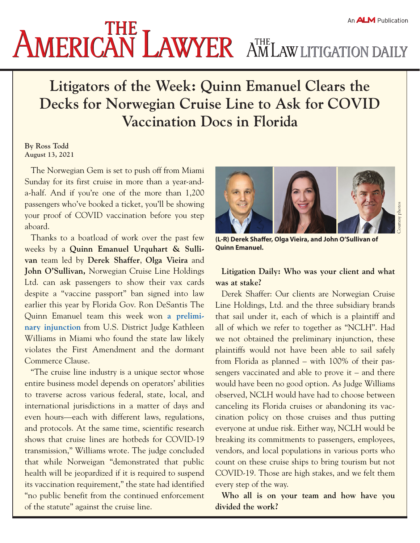# **AMERICAN LAWYER** AMLAW LITIGATION DAILY

# **Litigators of the Week: Quinn Emanuel Clears the Decks for Norwegian Cruise Line to Ask for COVID Vaccination Docs in Florida**

#### **By Ross Todd August 13, 2021**

The Norwegian Gem is set to push off from Miami Sunday for its first cruise in more than a year-anda-half. And if you're one of the more than 1,200 passengers who've booked a ticket, you'll be showing your proof of COVID vaccination before you step aboard.

Thanks to a boatload of work over the past few weeks by a **Quinn Emanuel Urquhart & Sullivan** team led by **Derek Shaffer**, **Olga Vieira** and **John O'Sullivan,** Norwegian Cruise Line Holdings Ltd. can ask passengers to show their vax cards despite a "vaccine passport" ban signed into law earlier this year by Florida Gov. Ron DeSantis The Quinn Emanuel team this week won **[a prelimi](https://storage.courtlistener.com/recap/gov.uscourts.flsd.596136/gov.uscourts.flsd.596136.43.0_1.pdf)[nary injunction](https://storage.courtlistener.com/recap/gov.uscourts.flsd.596136/gov.uscourts.flsd.596136.43.0_1.pdf)** from U.S. District Judge Kathleen Williams in Miami who found the state law likely violates the First Amendment and the dormant Commerce Clause.

"The cruise line industry is a unique sector whose entire business model depends on operators' abilities to traverse across various federal, state, local, and international jurisdictions in a matter of days and even hours—each with different laws, regulations, and protocols. At the same time, scientific research shows that cruise lines are hotbeds for COVID-19 transmission," Williams wrote. The judge concluded that while Norweigan "demonstrated that public health will be jeopardized if it is required to suspend its vaccination requirement," the state had identified "no public benefit from the continued enforcement of the statute" against the cruise line.



**(L-R) Derek Shaffer, Olga Vieira, and John O'Sullivan of Quinn Emanuel.** 

## **Litigation Daily: Who was your client and what was at stake?**

Derek Shaffer: Our clients are Norwegian Cruise Line Holdings, Ltd. and the three subsidiary brands that sail under it, each of which is a plaintiff and all of which we refer to together as "NCLH". Had we not obtained the preliminary injunction, these plaintiffs would not have been able to sail safely from Florida as planned – with 100% of their passengers vaccinated and able to prove it – and there would have been no good option. As Judge Williams observed, NCLH would have had to choose between canceling its Florida cruises or abandoning its vaccination policy on those cruises and thus putting everyone at undue risk. Either way, NCLH would be breaking its commitments to passengers, employees, vendors, and local populations in various ports who count on these cruise ships to bring tourism but not COVID-19. Those are high stakes, and we felt them every step of the way.

**Who all is on your team and how have you divided the work?**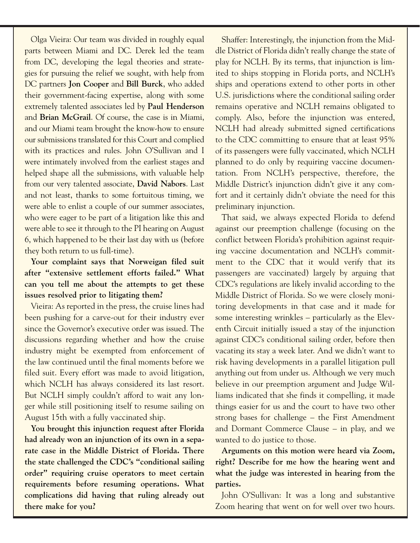Olga Vieira: Our team was divided in roughly equal parts between Miami and DC. Derek led the team from DC, developing the legal theories and strategies for pursuing the relief we sought, with help from DC partners **Jon Cooper** and **Bill Burck**, who added their government-facing expertise, along with some extremely talented associates led by **Paul Henderson** and **Brian McGrail**. Of course, the case is in Miami, and our Miami team brought the know-how to ensure our submissions translated for this Court and complied with its practices and rules. John O'Sullivan and I were intimately involved from the earliest stages and helped shape all the submissions, with valuable help from our very talented associate, **David Nabors**. Last and not least, thanks to some fortuitous timing, we were able to enlist a couple of our summer associates, who were eager to be part of a litigation like this and were able to see it through to the PI hearing on August 6, which happened to be their last day with us (before they both return to us full-time).

**Your complaint says that Norweigan filed suit after "extensive settlement efforts failed." What can you tell me about the attempts to get these issues resolved prior to litigating them?** 

Vieira: As reported in the press, the cruise lines had been pushing for a carve-out for their industry ever since the Governor's executive order was issued. The discussions regarding whether and how the cruise industry might be exempted from enforcement of the law continued until the final moments before we filed suit. Every effort was made to avoid litigation, which NCLH has always considered its last resort. But NCLH simply couldn't afford to wait any longer while still positioning itself to resume sailing on August 15th with a fully vaccinated ship.

**You brought this injunction request after Florida had already won an injunction of its own in a separate case in the Middle District of Florida. There the state challenged the CDC's "conditional sailing order" requiring cruise operators to meet certain requirements before resuming operations. What complications did having that ruling already out there make for you?** 

Shaffer: Interestingly, the injunction from the Middle District of Florida didn't really change the state of play for NCLH. By its terms, that injunction is limited to ships stopping in Florida ports, and NCLH's ships and operations extend to other ports in other U.S. jurisdictions where the conditional sailing order remains operative and NCLH remains obligated to comply. Also, before the injunction was entered, NCLH had already submitted signed certifications to the CDC committing to ensure that at least 95% of its passengers were fully vaccinated, which NCLH planned to do only by requiring vaccine documentation. From NCLH's perspective, therefore, the Middle District's injunction didn't give it any comfort and it certainly didn't obviate the need for this preliminary injunction.

That said, we always expected Florida to defend against our preemption challenge (focusing on the conflict between Florida's prohibition against requiring vaccine documentation and NCLH's commitment to the CDC that it would verify that its passengers are vaccinated) largely by arguing that CDC's regulations are likely invalid according to the Middle District of Florida. So we were closely monitoring developments in that case and it made for some interesting wrinkles – particularly as the Eleventh Circuit initially issued a stay of the injunction against CDC's conditional sailing order, before then vacating its stay a week later. And we didn't want to risk having developments in a parallel litigation pull anything out from under us. Although we very much believe in our preemption argument and Judge Williams indicated that she finds it compelling, it made things easier for us and the court to have two other strong bases for challenge – the First Amendment and Dormant Commerce Clause – in play, and we wanted to do justice to those.

**Arguments on this motion were heard via Zoom, right? Describe for me how the hearing went and what the judge was interested in hearing from the parties.**

John O'Sullivan: It was a long and substantive Zoom hearing that went on for well over two hours.